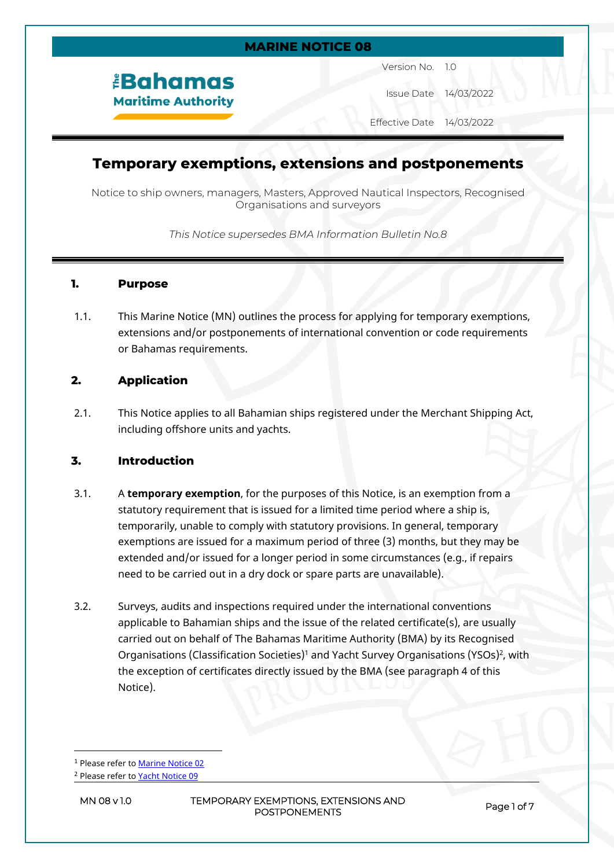### **MARINE NOTICE 08**

# *<u><b>Bahamas</u>* **Maritime Authority**

Version No. 1.0

Issue Date 14/03/2022

Effective Date 14/03/2022

# **Temporary exemptions, extensions and postponements**

Notice to ship owners, managers, Masters, Approved Nautical Inspectors, Recognised Organisations and surveyors

*This Notice supersedes BMA Information Bulletin No.8*

#### **1. Purpose**

1.1. This Marine Notice (MN) outlines the process for applying for temporary exemptions, extensions and/or postponements of international convention or code requirements or Bahamas requirements.

# **2. Application**

2.1. This Notice applies to all Bahamian ships registered under the Merchant Shipping Act, including offshore units and yachts.

# **3. Introduction**

- 3.1. A **temporary exemption**, for the purposes of this Notice, is an exemption from a statutory requirement that is issued for a limited time period where a ship is, temporarily, unable to comply with statutory provisions. In general, temporary exemptions are issued for a maximum period of three (3) months, but they may be extended and/or issued for a longer period in some circumstances (e.g., if repairs need to be carried out in a dry dock or spare parts are unavailable).
- 3.2. Surveys, audits and inspections required under the international conventions applicable to Bahamian ships and the issue of the related certificate(s), are usually carried out on behalf of The Bahamas Maritime Authority (BMA) by its Recognised Organisations (Classification Societies)<sup>1</sup> and Yacht Survey Organisations (YSOs)<sup>2</sup>, with the exception of certificates directly issued by the BMA (see paragraph 4 of this Notice).

<sup>1</sup> Please refer to [Marine Notice 02](https://www.bahamasmaritime.com/wp-content/uploads/2021/03/MN002-Authorised-Classification-Societies.pdf)

**MN 08 v 1.0 TEMPORARY EXEMPTIONS, EXTENSIONS AND POSTPONEMENTS Page 1 of 7**

<sup>&</sup>lt;sup>2</sup> Please refer to [Yacht Notice 09](https://www.bahamasmaritime.com/wp-content/uploads/2021/07/YN009-Authorised-Yacht-Surveyors-v1.1.pdf)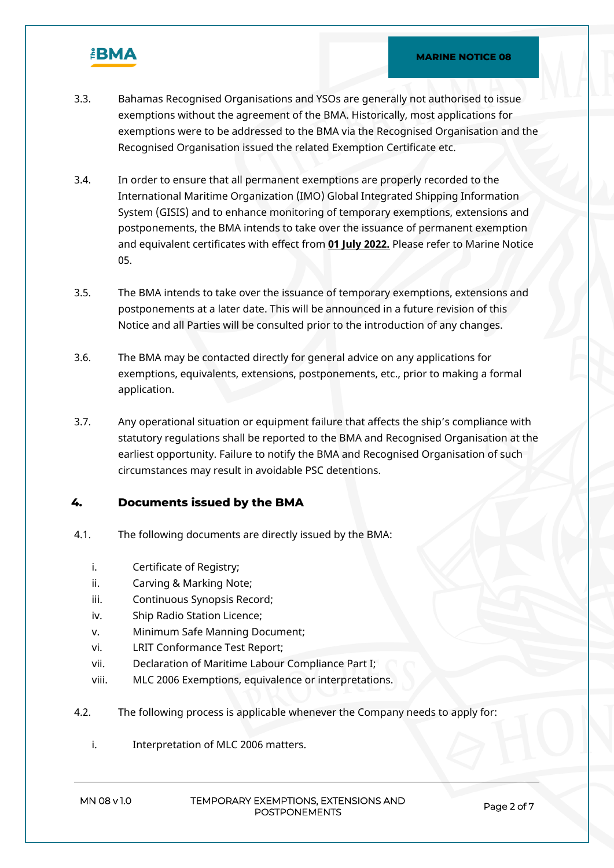

- 3.3. Bahamas Recognised Organisations and YSOs are generally not authorised to issue exemptions without the agreement of the BMA. Historically, most applications for exemptions were to be addressed to the BMA via the Recognised Organisation and the Recognised Organisation issued the related Exemption Certificate etc.
- 3.4. In order to ensure that all permanent exemptions are properly recorded to the International Maritime Organization (IMO) Global Integrated Shipping Information System (GISIS) and to enhance monitoring of temporary exemptions, extensions and postponements, the BMA intends to take over the issuance of permanent exemption and equivalent certificates with effect from **01 July 2022.** Please refer to Marine Notice 05.
- 3.5. The BMA intends to take over the issuance of temporary exemptions, extensions and postponements at a later date. This will be announced in a future revision of this Notice and all Parties will be consulted prior to the introduction of any changes.
- 3.6. The BMA may be contacted directly for general advice on any applications for exemptions, equivalents, extensions, postponements, etc., prior to making a formal application.
- 3.7. Any operational situation or equipment failure that affects the ship's compliance with statutory regulations shall be reported to the BMA and Recognised Organisation at the earliest opportunity. Failure to notify the BMA and Recognised Organisation of such circumstances may result in avoidable PSC detentions.

# **4. Documents issued by the BMA**

- 4.1. The following documents are directly issued by the BMA:
	- i. Certificate of Registry;
	- ii. Carving & Marking Note;
	- iii. Continuous Synopsis Record;
	- iv. Ship Radio Station Licence;
	- v. Minimum Safe Manning Document;
	- vi. LRIT Conformance Test Report;
	- vii. Declaration of Maritime Labour Compliance Part I;
	- viii. MLC 2006 Exemptions, equivalence or interpretations.
- 4.2. The following process is applicable whenever the Company needs to apply for:
	- i. Interpretation of MLC 2006 matters.

#### **MN 08 v 1.0 TEMPORARY EXEMPTIONS, EXTENSIONS AND POSTPONEMENTS Page 2 of 7**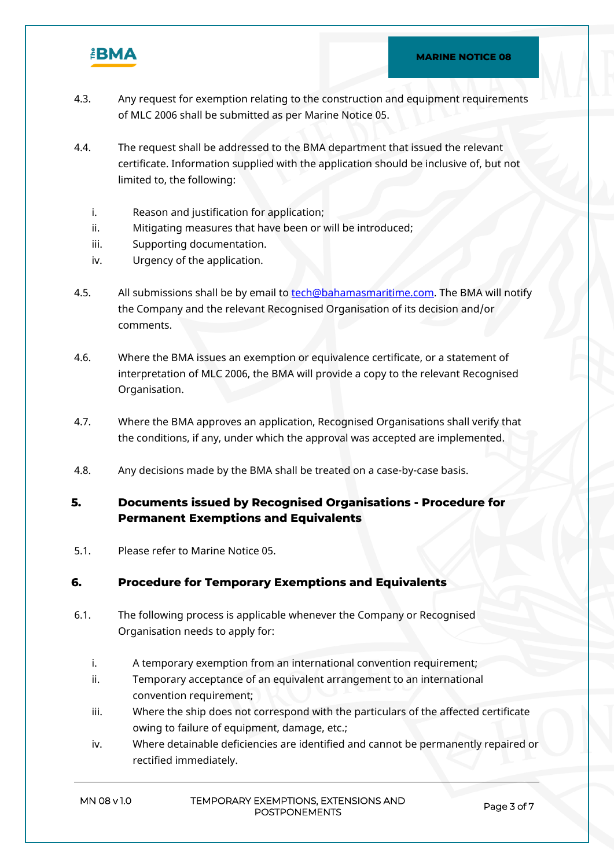

- 4.3. Any request for exemption relating to the construction and equipment requirements of MLC 2006 shall be submitted as per Marine Notice 05.
- 4.4. The request shall be addressed to the BMA department that issued the relevant certificate. Information supplied with the application should be inclusive of, but not limited to, the following:
	- i. Reason and justification for application;
	- ii. Mitigating measures that have been or will be introduced;
	- iii. Supporting documentation.
	- iv. Urgency of the application.
- 4.5. All submissions shall be by email to [tech@bahamasmaritime.com.](mailto:tech@bahamasmaritime.com) The BMA will notify the Company and the relevant Recognised Organisation of its decision and/or comments.
- 4.6. Where the BMA issues an exemption or equivalence certificate, or a statement of interpretation of MLC 2006, the BMA will provide a copy to the relevant Recognised Organisation.
- 4.7. Where the BMA approves an application, Recognised Organisations shall verify that the conditions, if any, under which the approval was accepted are implemented.
- 4.8. Any decisions made by the BMA shall be treated on a case-by-case basis.

# **5. Documents issued by Recognised Organisations - Procedure for Permanent Exemptions and Equivalents**

5.1. Please refer to Marine Notice 05.

# **6. Procedure for Temporary Exemptions and Equivalents**

- 6.1. The following process is applicable whenever the Company or Recognised Organisation needs to apply for:
	- i. A temporary exemption from an international convention requirement;
	- ii. Temporary acceptance of an equivalent arrangement to an international convention requirement;
	- iii. Where the ship does not correspond with the particulars of the affected certificate owing to failure of equipment, damage, etc.;
	- iv. Where detainable deficiencies are identified and cannot be permanently repaired or rectified immediately.

#### **MN 08 v 1.0 TEMPORARY EXEMPTIONS, EXTENSIONS AND POSTPONEMENTS Page 3 of 7**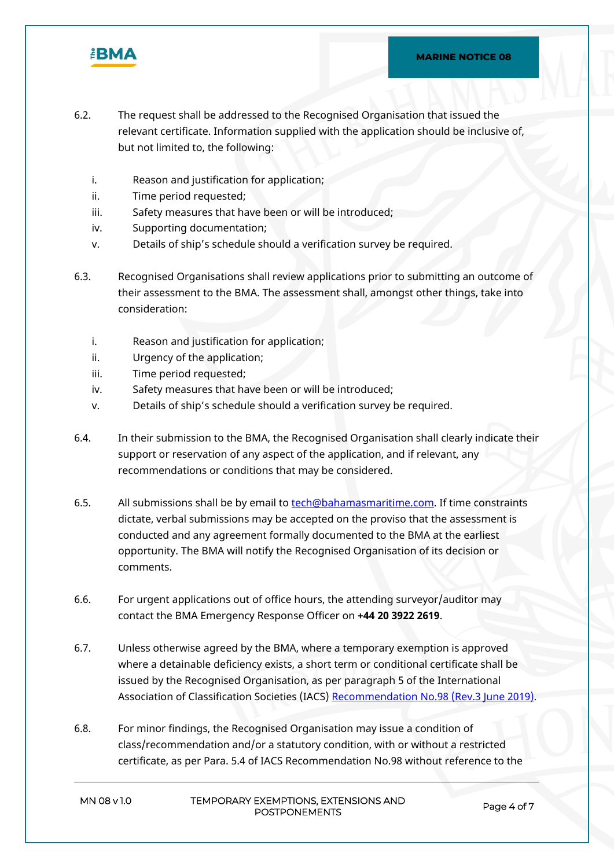

- 6.2. The request shall be addressed to the Recognised Organisation that issued the relevant certificate. Information supplied with the application should be inclusive of, but not limited to, the following:
	- i. Reason and justification for application;
	- ii. Time period requested;
	- iii. Safety measures that have been or will be introduced;
	- iv. Supporting documentation;
	- v. Details of ship's schedule should a verification survey be required.
- 6.3. Recognised Organisations shall review applications prior to submitting an outcome of their assessment to the BMA. The assessment shall, amongst other things, take into consideration:
	- i. Reason and justification for application;
	- ii. Urgency of the application;
	- iii. Time period requested;
	- iv. Safety measures that have been or will be introduced;
	- v. Details of ship's schedule should a verification survey be required.
- 6.4. In their submission to the BMA, the Recognised Organisation shall clearly indicate their support or reservation of any aspect of the application, and if relevant, any recommendations or conditions that may be considered.
- 6.5. All submissions shall be by email to [tech@bahamasmaritime.com.](mailto:tech@bahamasmaritime.com) If time constraints dictate, verbal submissions may be accepted on the proviso that the assessment is conducted and any agreement formally documented to the BMA at the earliest opportunity. The BMA will notify the Recognised Organisation of its decision or comments.
- 6.6. For urgent applications out of office hours, the attending surveyor/auditor may contact the BMA Emergency Response Officer on **+44 20 3922 2619**.
- 6.7. Unless otherwise agreed by the BMA, where a temporary exemption is approved where a detainable deficiency exists, a short term or conditional certificate shall be issued by the Recognised Organisation, as per paragraph 5 of the International Association of Classification Societies (IACS) [Recommendation No.98 \(Rev.3 June 2019\).](https://www.iacs.org.uk/download/1888)
- 6.8. For minor findings, the Recognised Organisation may issue a condition of class/recommendation and/or a statutory condition, with or without a restricted certificate, as per Para. 5.4 of IACS Recommendation No.98 without reference to the

| MN 08 v 1.0 | TEMPORARY EXEMPTIONS, EXTENSIONS AND |
|-------------|--------------------------------------|
|             | <b>POSTPONEMENTS</b>                 |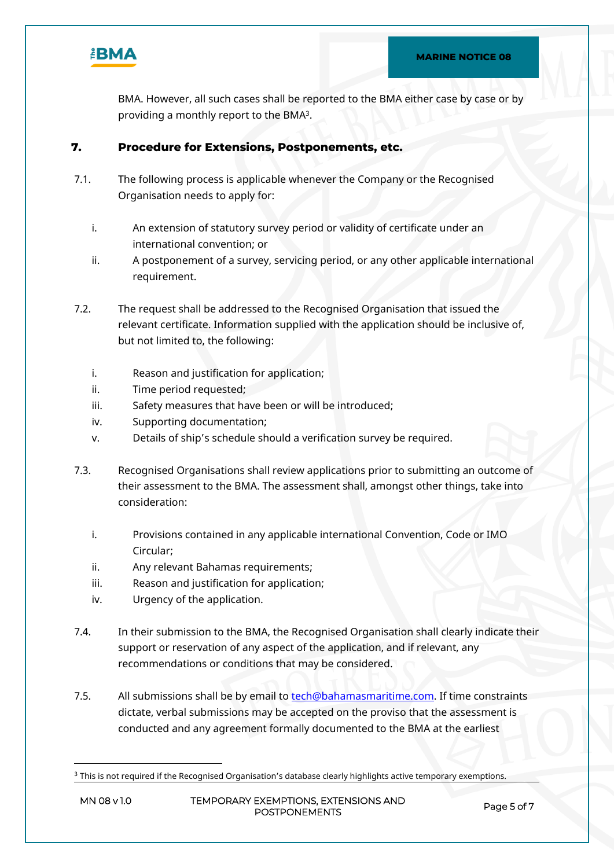

BMA. However, all such cases shall be reported to the BMA either case by case or by providing a monthly report to the BMA<sup>3</sup>.

# **7. Procedure for Extensions, Postponements, etc.**

- 7.1. The following process is applicable whenever the Company or the Recognised Organisation needs to apply for:
	- i. An extension of statutory survey period or validity of certificate under an international convention; or
	- ii. A postponement of a survey, servicing period, or any other applicable international requirement.
- 7.2. The request shall be addressed to the Recognised Organisation that issued the relevant certificate. Information supplied with the application should be inclusive of, but not limited to, the following:
	- i. Reason and justification for application;
	- ii. Time period requested;
	- iii. Safety measures that have been or will be introduced;
	- iv. Supporting documentation;
	- v. Details of ship's schedule should a verification survey be required.
- 7.3. Recognised Organisations shall review applications prior to submitting an outcome of their assessment to the BMA. The assessment shall, amongst other things, take into consideration:
	- i. Provisions contained in any applicable international Convention, Code or IMO Circular;
	- ii. Any relevant Bahamas requirements;
	- iii. Reason and justification for application;
	- iv. Urgency of the application.
- 7.4. In their submission to the BMA, the Recognised Organisation shall clearly indicate their support or reservation of any aspect of the application, and if relevant, any recommendations or conditions that may be considered.
- 7.5. All submissions shall be by email to [tech@bahamasmaritime.com.](mailto:tech@bahamasmaritime.com) If time constraints dictate, verbal submissions may be accepted on the proviso that the assessment is conducted and any agreement formally documented to the BMA at the earliest

 $3$  This is not required if the Recognised Organisation's database clearly highlights active temporary exemptions.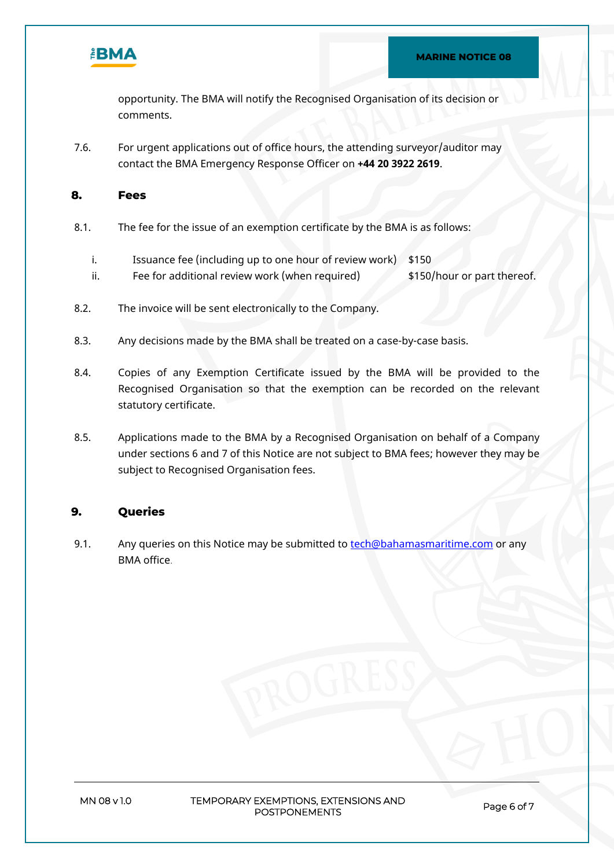

opportunity. The BMA will notify the Recognised Organisation of its decision or comments.

7.6. For urgent applications out of office hours, the attending surveyor/auditor may contact the BMA Emergency Response Officer on **+44 20 3922 2619**.

### **8. Fees**

- 8.1. The fee for the issue of an exemption certificate by the BMA is as follows:
	- i. Issuance fee (including up to one hour of review work) \$150
	- ii. Fee for additional review work (when required)  $$150/hour or part thereof.$
- 8.2. The invoice will be sent electronically to the Company.
- 8.3. Any decisions made by the BMA shall be treated on a case-by-case basis.
- 8.4. Copies of any Exemption Certificate issued by the BMA will be provided to the Recognised Organisation so that the exemption can be recorded on the relevant statutory certificate.
- 8.5. Applications made to the BMA by a Recognised Organisation on behalf of a Company under sections 6 and 7 of this Notice are not subject to BMA fees; however they may be subject to Recognised Organisation fees.

# **9. Queries**

9.1. Any queries on this Notice may be submitted to [tech@bahamasmaritime.com](mailto:tech@bahamasmaritime.com) or any BMA office.

**MN 08 v 1.0 TEMPORARY EXEMPTIONS, EXTENSIONS AND POSTPONEMENTS Page 6 of 7**